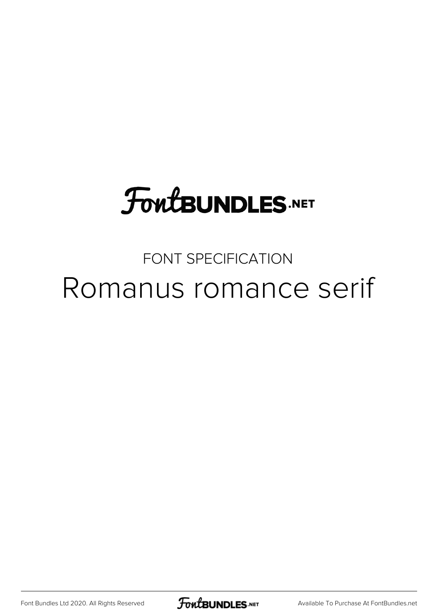## **FoutBUNDLES.NET**

#### FONT SPECIFICATION Romanus romance serif

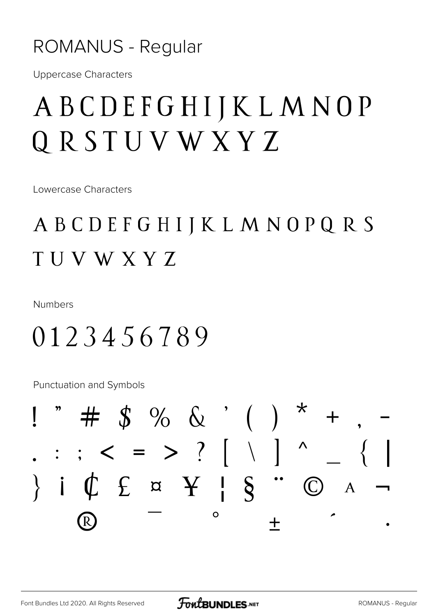#### **ROMANUS - Regular**

**Uppercase Characters** 

### ABCDEFGHIJKLMNOP QRSTUVWXYZ

Lowercase Characters

#### ABCDEFGHIJKLMNOPQRS TUVWXYZ

**Numbers** 

#### 0123456789

**Punctuation and Symbols** 

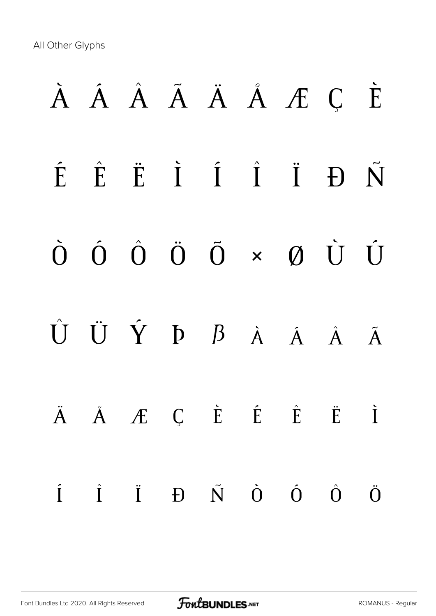All Other Glyphs

# À Á Â Ã Ä Å Æ Ç È É Ê Ë Ì Í Î Ï Ð Ñ Ò Ó Ô Õ Ö × Ø Ù Ú  $\hat{U}$   $\hat{U}$   $\hat{Y}$   $\hat{D}$   $\hat{B}$   $\hat{A}$   $\hat{A}$   $\hat{A}$   $\hat{A}$ ä å æ ç è é ê ë ì í î ï ð ñ ò ó ô õ